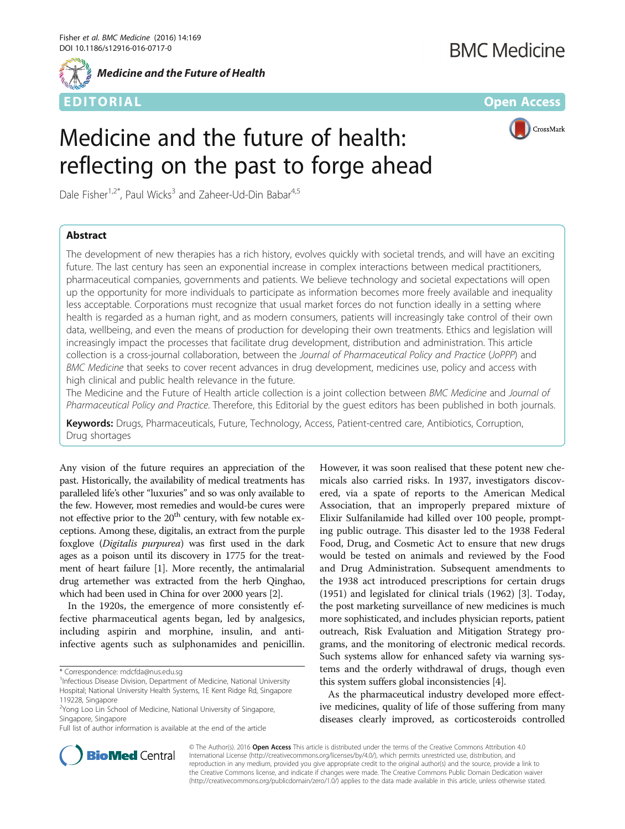

EDI TORIA L Open Access

# Medicine and the future of health: reflecting on the past to forge ahead

Dale Fisher<sup>1,2\*</sup>, Paul Wicks<sup>3</sup> and Zaheer-Ud-Din Babar<sup>4,5</sup>

*Medicine and the Future of Health*

## Abstract

CrossMark

The development of new therapies has a rich history, evolves quickly with societal trends, and will have an exciting future. The last century has seen an exponential increase in complex interactions between medical practitioners, pharmaceutical companies, governments and patients. We believe technology and societal expectations will open up the opportunity for more individuals to participate as information becomes more freely available and inequality less acceptable. Corporations must recognize that usual market forces do not function ideally in a setting where health is regarded as a human right, and as modern consumers, patients will increasingly take control of their own data, wellbeing, and even the means of production for developing their own treatments. Ethics and legislation will increasingly impact the processes that facilitate drug development, distribution and administration. This article collection is a cross-journal collaboration, between the Journal of Pharmaceutical Policy and Practice (JoPPP) and BMC Medicine that seeks to cover recent advances in drug development, medicines use, policy and access with high clinical and public health relevance in the future.

The Medicine and the Future of Health article collection is a joint collection between BMC Medicine and Journal of Pharmaceutical Policy and Practice. Therefore, this Editorial by the guest editors has been published in both journals.

Keywords: Drugs, Pharmaceuticals, Future, Technology, Access, Patient-centred care, Antibiotics, Corruption, Drug shortages

Any vision of the future requires an appreciation of the past. Historically, the availability of medical treatments has paralleled life's other "luxuries" and so was only available to the few. However, most remedies and would-be cures were not effective prior to the  $20<sup>th</sup>$  century, with few notable exceptions. Among these, digitalis, an extract from the purple foxglove (Digitalis purpurea) was first used in the dark ages as a poison until its discovery in 1775 for the treatment of heart failure [\[1\]](#page-2-0). More recently, the antimalarial drug artemether was extracted from the herb Qinghao, which had been used in China for over 2000 years [[2](#page-2-0)].

In the 1920s, the emergence of more consistently effective pharmaceutical agents began, led by analgesics, including aspirin and morphine, insulin, and antiinfective agents such as sulphonamides and penicillin.

\* Correspondence: [mdcfda@nus.edu.sg](mailto:mdcfda@nus.edu.sg) <sup>1</sup>

<sup>1</sup>Infectious Disease Division, Department of Medicine, National University Hospital; National University Health Systems, 1E Kent Ridge Rd, Singapore 119228, Singapore

Full list of author information is available at the end of the article

However, it was soon realised that these potent new chemicals also carried risks. In 1937, investigators discovered, via a spate of reports to the American Medical Association, that an improperly prepared mixture of Elixir Sulfanilamide had killed over 100 people, prompting public outrage. This disaster led to the 1938 Federal Food, Drug, and Cosmetic Act to ensure that new drugs would be tested on animals and reviewed by the Food and Drug Administration. Subsequent amendments to the 1938 act introduced prescriptions for certain drugs (1951) and legislated for clinical trials (1962) [\[3](#page-2-0)]. Today, the post marketing surveillance of new medicines is much more sophisticated, and includes physician reports, patient outreach, Risk Evaluation and Mitigation Strategy programs, and the monitoring of electronic medical records. Such systems allow for enhanced safety via warning systems and the orderly withdrawal of drugs, though even this system suffers global inconsistencies [\[4](#page-2-0)].

As the pharmaceutical industry developed more effective medicines, quality of life of those suffering from many diseases clearly improved, as corticosteroids controlled



© The Author(s). 2016 Open Access This article is distributed under the terms of the Creative Commons Attribution 4.0 International License [\(http://creativecommons.org/licenses/by/4.0/](http://creativecommons.org/licenses/by/4.0/)), which permits unrestricted use, distribution, and reproduction in any medium, provided you give appropriate credit to the original author(s) and the source, provide a link to the Creative Commons license, and indicate if changes were made. The Creative Commons Public Domain Dedication waiver [\(http://creativecommons.org/publicdomain/zero/1.0/](http://creativecommons.org/publicdomain/zero/1.0/)) applies to the data made available in this article, unless otherwise stated.

<sup>&</sup>lt;sup>2</sup>Yong Loo Lin School of Medicine, National University of Singapore, Singapore, Singapore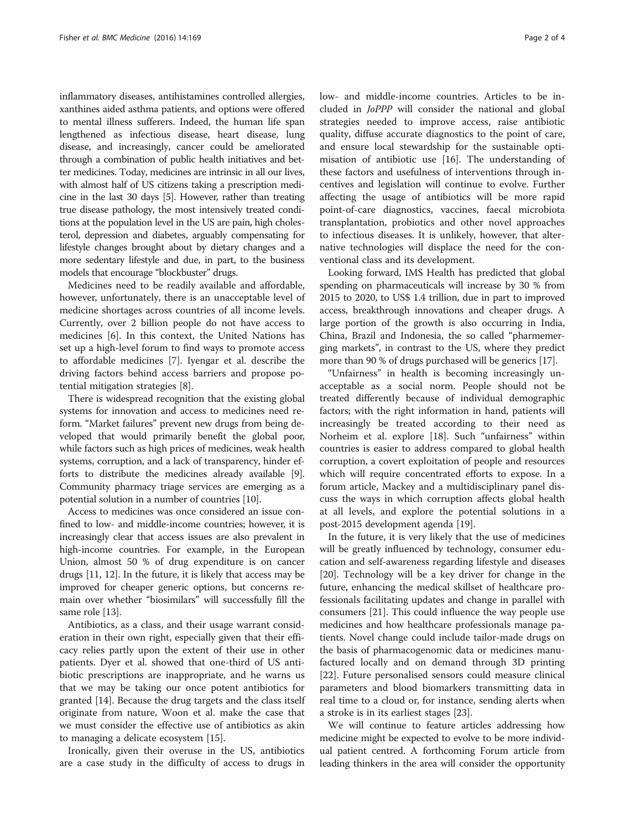inflammatory diseases, antihistamines controlled allergies, xanthines aided asthma patients, and options were offered to mental illness sufferers. Indeed, the human life span lengthened as infectious disease, heart disease, lung disease, and increasingly, cancer could be ameliorated through a combination of public health initiatives and better medicines. Today, medicines are intrinsic in all our lives, with almost half of US citizens taking a prescription medicine in the last 30 days [\[5\]](#page-2-0). However, rather than treating true disease pathology, the most intensively treated conditions at the population level in the US are pain, high cholesterol, depression and diabetes, arguably compensating for lifestyle changes brought about by dietary changes and a more sedentary lifestyle and due, in part, to the business models that encourage "blockbuster" drugs.

Medicines need to be readily available and affordable, however, unfortunately, there is an unacceptable level of medicine shortages across countries of all income levels. Currently, over 2 billion people do not have access to medicines [\[6](#page-2-0)]. In this context, the United Nations has set up a high-level forum to find ways to promote access to affordable medicines [[7\]](#page-2-0). Iyengar et al. describe the driving factors behind access barriers and propose potential mitigation strategies [\[8](#page-2-0)].

There is widespread recognition that the existing global systems for innovation and access to medicines need reform. "Market failures" prevent new drugs from being developed that would primarily benefit the global poor, while factors such as high prices of medicines, weak health systems, corruption, and a lack of transparency, hinder efforts to distribute the medicines already available [[9](#page-2-0)]. Community pharmacy triage services are emerging as a potential solution in a number of countries [\[10\]](#page-2-0).

Access to medicines was once considered an issue confined to low- and middle-income countries; however, it is increasingly clear that access issues are also prevalent in high-income countries. For example, in the European Union, almost 50 % of drug expenditure is on cancer drugs [\[11, 12](#page-2-0)]. In the future, it is likely that access may be improved for cheaper generic options, but concerns remain over whether "biosimilars" will successfully fill the same role [[13](#page-2-0)].

Antibiotics, as a class, and their usage warrant consideration in their own right, especially given that their efficacy relies partly upon the extent of their use in other patients. Dyer et al. showed that one-third of US antibiotic prescriptions are inappropriate, and he warns us that we may be taking our once potent antibiotics for granted [[14\]](#page-2-0). Because the drug targets and the class itself originate from nature, Woon et al. make the case that we must consider the effective use of antibiotics as akin to managing a delicate ecosystem [[15\]](#page-2-0).

Ironically, given their overuse in the US, antibiotics are a case study in the difficulty of access to drugs in low- and middle-income countries. Articles to be included in JoPPP will consider the national and global strategies needed to improve access, raise antibiotic quality, diffuse accurate diagnostics to the point of care, and ensure local stewardship for the sustainable optimisation of antibiotic use [[16](#page-2-0)]. The understanding of these factors and usefulness of interventions through incentives and legislation will continue to evolve. Further affecting the usage of antibiotics will be more rapid point-of-care diagnostics, vaccines, faecal microbiota transplantation, probiotics and other novel approaches to infectious diseases. It is unlikely, however, that alternative technologies will displace the need for the conventional class and its development.

Looking forward, IMS Health has predicted that global spending on pharmaceuticals will increase by 30 % from 2015 to 2020, to US\$ 1.4 trillion, due in part to improved access, breakthrough innovations and cheaper drugs. A large portion of the growth is also occurring in India, China, Brazil and Indonesia, the so called "pharmemerging markets", in contrast to the US, where they predict more than 90 % of drugs purchased will be generics [[17](#page-2-0)].

"Unfairness" in health is becoming increasingly unacceptable as a social norm. People should not be treated differently because of individual demographic factors; with the right information in hand, patients will increasingly be treated according to their need as Norheim et al. explore [[18\]](#page-3-0). Such "unfairness" within countries is easier to address compared to global health corruption, a covert exploitation of people and resources which will require concentrated efforts to expose. In a forum article, Mackey and a multidisciplinary panel discuss the ways in which corruption affects global health at all levels, and explore the potential solutions in a post-2015 development agenda [\[19\]](#page-3-0).

In the future, it is very likely that the use of medicines will be greatly influenced by technology, consumer education and self-awareness regarding lifestyle and diseases [[20\]](#page-3-0). Technology will be a key driver for change in the future, enhancing the medical skillset of healthcare professionals facilitating updates and change in parallel with consumers [\[21\]](#page-3-0). This could influence the way people use medicines and how healthcare professionals manage patients. Novel change could include tailor-made drugs on the basis of pharmacogenomic data or medicines manufactured locally and on demand through 3D printing [[22\]](#page-3-0). Future personalised sensors could measure clinical parameters and blood biomarkers transmitting data in real time to a cloud or, for instance, sending alerts when a stroke is in its earliest stages [\[23](#page-3-0)].

We will continue to feature articles addressing how medicine might be expected to evolve to be more individual patient centred. A forthcoming Forum article from leading thinkers in the area will consider the opportunity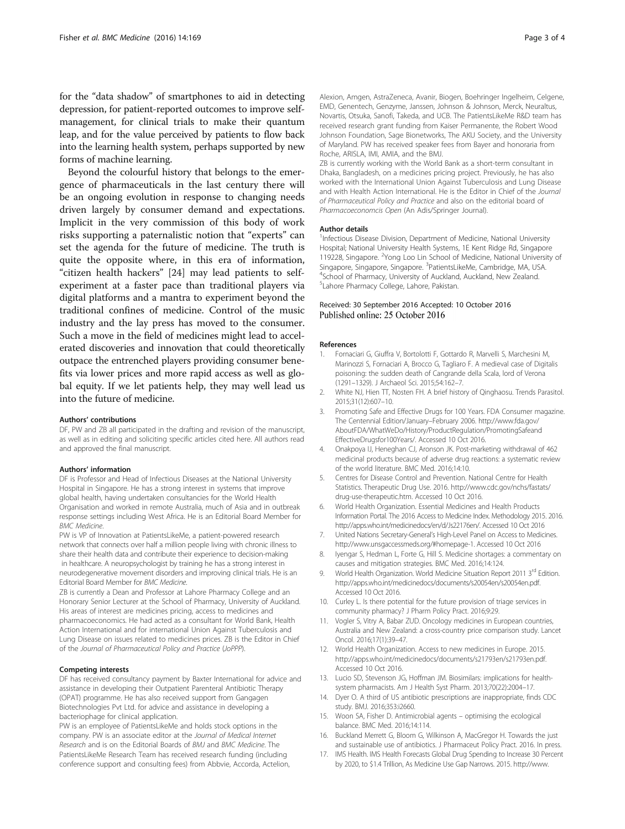<span id="page-2-0"></span>for the "data shadow" of smartphones to aid in detecting depression, for patient-reported outcomes to improve selfmanagement, for clinical trials to make their quantum leap, and for the value perceived by patients to flow back into the learning health system, perhaps supported by new forms of machine learning.

Beyond the colourful history that belongs to the emergence of pharmaceuticals in the last century there will be an ongoing evolution in response to changing needs driven largely by consumer demand and expectations. Implicit in the very commission of this body of work risks supporting a paternalistic notion that "experts" can set the agenda for the future of medicine. The truth is quite the opposite where, in this era of information, "citizen health hackers" [[24](#page-3-0)] may lead patients to selfexperiment at a faster pace than traditional players via digital platforms and a mantra to experiment beyond the traditional confines of medicine. Control of the music industry and the lay press has moved to the consumer. Such a move in the field of medicines might lead to accelerated discoveries and innovation that could theoretically outpace the entrenched players providing consumer benefits via lower prices and more rapid access as well as global equity. If we let patients help, they may well lead us into the future of medicine.

#### Authors' contributions

DF, PW and ZB all participated in the drafting and revision of the manuscript, as well as in editing and soliciting specific articles cited here. All authors read and approved the final manuscript.

#### Authors' information

DF is Professor and Head of Infectious Diseases at the National University Hospital in Singapore. He has a strong interest in systems that improve global health, having undertaken consultancies for the World Health Organisation and worked in remote Australia, much of Asia and in outbreak response settings including West Africa. He is an Editorial Board Member for BMC Medicine.

PW is VP of Innovation at PatientsLikeMe, a patient-powered research network that connects over half a million people living with chronic illness to share their health data and contribute their experience to decision-making in healthcare. A neuropsychologist by training he has a strong interest in neurodegenerative movement disorders and improving clinical trials. He is an Editorial Board Member for BMC Medicine.

ZB is currently a Dean and Professor at Lahore Pharmacy College and an Honorary Senior Lecturer at the School of Pharmacy, University of Auckland. His areas of interest are medicines pricing, access to medicines and pharmacoeconomics. He had acted as a consultant for World Bank, Health Action International and for international Union Against Tuberculosis and Lung Disease on issues related to medicines prices. ZB is the Editor in Chief of the Journal of Pharmaceutical Policy and Practice (JoPPP).

#### Competing interests

DF has received consultancy payment by Baxter International for advice and assistance in developing their Outpatient Parenteral Antibiotic Therapy (OPAT) programme. He has also received support from Gangagen Biotechnologies Pvt Ltd. for advice and assistance in developing a bacteriophage for clinical application.

PW is an employee of PatientsLikeMe and holds stock options in the company. PW is an associate editor at the Journal of Medical Internet Research and is on the Editorial Boards of BMJ and BMC Medicine. The PatientsLikeMe Research Team has received research funding (including conference support and consulting fees) from Abbvie, Accorda, Actelion,

Alexion, Amgen, AstraZeneca, Avanir, Biogen, Boehringer Ingelheim, Celgene, EMD, Genentech, Genzyme, Janssen, Johnson & Johnson, Merck, Neuraltus, Novartis, Otsuka, Sanofi, Takeda, and UCB. The PatientsLikeMe R&D team has received research grant funding from Kaiser Permanente, the Robert Wood Johnson Foundation, Sage Bionetworks, The AKU Society, and the University of Maryland. PW has received speaker fees from Bayer and honoraria from Roche, ARISLA, IMI, AMIA, and the BMJ.

ZB is currently working with the World Bank as a short-term consultant in Dhaka, Bangladesh, on a medicines pricing project. Previously, he has also worked with the International Union Against Tuberculosis and Lung Disease and with Health Action International. He is the Editor in Chief of the Journal of Pharmaceutical Policy and Practice and also on the editorial board of Pharmacoeconomcis Open (An Adis/Springer Journal).

#### Author details

<sup>1</sup>Infectious Disease Division, Department of Medicine, National University Hospital; National University Health Systems, 1E Kent Ridge Rd, Singapore 119228, Singapore. <sup>2</sup> Yong Loo Lin School of Medicine, National University of Singapore, Singapore, Singapore. <sup>3</sup>PatientsLikeMe, Cambridge, MA, USA.<br><sup>4</sup>School of Pharmacy, University of Auckland, Auckland, New Zoaland. <sup>4</sup>School of Pharmacy, University of Auckland, Auckland, New Zealand. 5 Lahore Pharmacy College, Lahore, Pakistan.

### Received: 30 September 2016 Accepted: 10 October 2016 Published online: 25 October 2016

#### References

- 1. Fornaciari G, Giuffra V, Bortolotti F, Gottardo R, Marvelli S, Marchesini M, Marinozzi S, Fornaciari A, Brocco G, Tagliaro F. A medieval case of Digitalis poisoning: the sudden death of Cangrande della Scala, lord of Verona (1291–1329). J Archaeol Sci. 2015;54:162–7.
- 2. White NJ, Hien TT, Nosten FH. A brief history of Qinghaosu. Trends Parasitol. 2015;31(12):607–10.
- 3. Promoting Safe and Effective Drugs for 100 Years. FDA Consumer magazine. The Centennial Edition/January–February 2006. [http://www.fda.gov/](http://www.fda.gov/AboutFDA/WhatWeDo/History/ProductRegulation/PromotingSafeandEffectiveDrugsfor100Years/) [AboutFDA/WhatWeDo/History/ProductRegulation/PromotingSafeand](http://www.fda.gov/AboutFDA/WhatWeDo/History/ProductRegulation/PromotingSafeandEffectiveDrugsfor100Years/) [EffectiveDrugsfor100Years/.](http://www.fda.gov/AboutFDA/WhatWeDo/History/ProductRegulation/PromotingSafeandEffectiveDrugsfor100Years/) Accessed 10 Oct 2016.
- 4. Onakpoya IJ, Heneghan CJ, Aronson JK. Post-marketing withdrawal of 462 medicinal products because of adverse drug reactions: a systematic review of the world literature. BMC Med. 2016;14:10.
- 5. Centres for Disease Control and Prevention. National Centre for Health Statistics. Therapeutic Drug Use. 2016. [http://www.cdc.gov/nchs/fastats/](http://www.cdc.gov/nchs/fastats/drug-use-therapeutic.htm) [drug-use-therapeutic.htm](http://www.cdc.gov/nchs/fastats/drug-use-therapeutic.htm). Accessed 10 Oct 2016.
- 6. World Health Organization. Essential Medicines and Health Products Information Portal. The 2016 Access to Medicine Index. Methodology 2015. 2016. [http://apps.who.int/medicinedocs/en/d/Js22176en/.](http://apps.who.int/medicinedocs/en/d/Js22176en/) Accessed 10 Oct 2016
- 7. United Nations Secretary-General's High-Level Panel on Access to Medicines. <http://www.unsgaccessmeds.org/#homepage-1>. Accessed 10 Oct 2016
- 8. Iyengar S, Hedman L, Forte G, Hill S. Medicine shortages: a commentary on causes and mitigation strategies. BMC Med. 2016;14:124.
- 9. World Health Organization. World Medicine Situation Report 2011 3<sup>rd</sup> Edition. <http://apps.who.int/medicinedocs/documents/s20054en/s20054en.pdf>. Accessed 10 Oct 2016.
- 10. Curley L. Is there potential for the future provision of triage services in community pharmacy? J Pharm Policy Pract. 2016;9:29.
- 11. Vogler S, Vitry A, Babar ZUD. Oncology medicines in European countries, Australia and New Zealand: a cross-country price comparison study. Lancet Oncol. 2016;17(1):39–47.
- 12. World Health Organization. Access to new medicines in Europe. 2015. [http://apps.who.int/medicinedocs/documents/s21793en/s21793en.pdf.](http://apps.who.int/medicinedocs/documents/s21793en/s21793en.pdf) Accessed 10 Oct 2016.
- 13. Lucio SD, Stevenson JG, Hoffman JM. Biosimilars: implications for healthsystem pharmacists. Am J Health Syst Pharm. 2013;70(22):2004–17.
- 14. Dyer O. A third of US antibiotic prescriptions are inappropriate, finds CDC study. BMJ. 2016;353:i2660.
- 15. Woon SA, Fisher D. Antimicrobial agents optimising the ecological balance. BMC Med. 2016;14:114.
- 16. Buckland Merrett G, Bloom G, Wilkinson A, MacGregor H. Towards the just and sustainable use of antibiotics. J Pharmaceut Policy Pract. 2016. In press.
- 17. IMS Health. IMS Health Forecasts Global Drug Spending to Increase 30 Percent by 2020, to \$1.4 Trillion, As Medicine Use Gap Narrows. 2015. [http://www.](http://www.imshealth.com/en/about-us/news/ims-health-forecasts-global-drug-spending-to-increase-30-percent-by-2020)